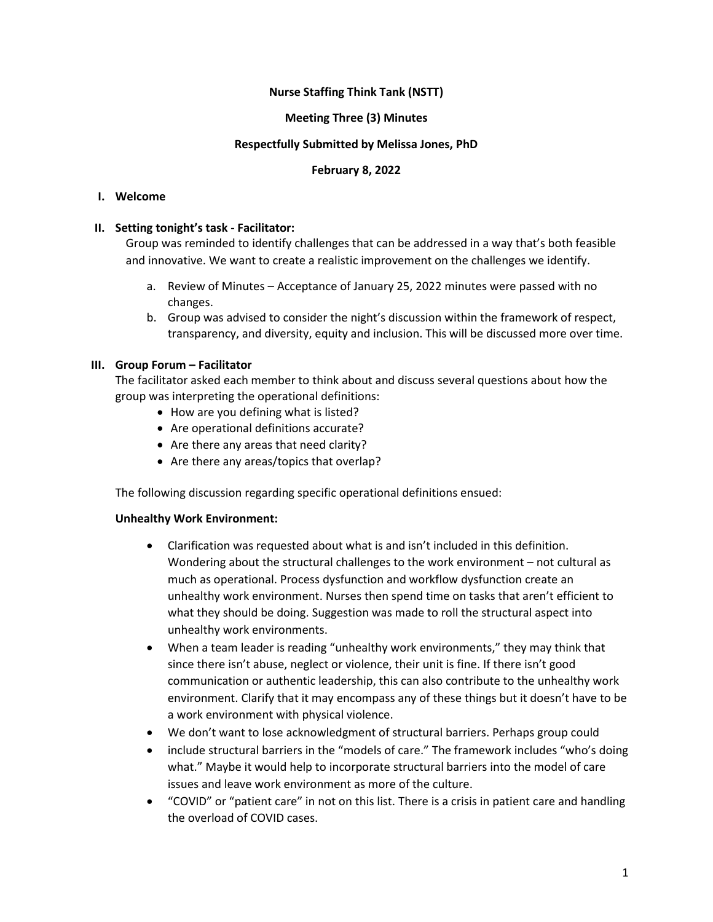## **Nurse Staffing Think Tank (NSTT)**

### **Meeting Three (3) Minutes**

#### **Respectfully Submitted by Melissa Jones, PhD**

### **February 8, 2022**

### **I. Welcome**

## **II. Setting tonight's task - Facilitator:**

Group was reminded to identify challenges that can be addressed in a way that's both feasible and innovative. We want to create a realistic improvement on the challenges we identify.

- a. Review of Minutes Acceptance of January 25, 2022 minutes were passed with no changes.
- b. Group was advised to consider the night's discussion within the framework of respect, transparency, and diversity, equity and inclusion. This will be discussed more over time.

## **III.** Group Forum – Facilitator

The facilitator asked each member to think about and discuss several questions about how the group was interpreting the operational definitions:

- How are you defining what is listed?
- Are operational definitions accurate?
- Are there any areas that need clarity?
- Are there any areas/topics that overlap?

The following discussion regarding specific operational definitions ensued:

#### **Unhealthy Work Environment:**

- Clarification was requested about what is and isn't included in this definition. Wondering about the structural challenges to the work environment – not cultural as much as operational. Process dysfunction and workflow dysfunction create an unhealthy work environment. Nurses then spend time on tasks that aren't efficient to what they should be doing. Suggestion was made to roll the structural aspect into unhealthy work environments.
- When a team leader is reading "unhealthy work environments," they may think that since there isn't abuse, neglect or violence, their unit is fine. If there isn't good communication or authentic leadership, this can also contribute to the unhealthy work environment. Clarify that it may encompass any of these things but it doesn't have to be a work environment with physical violence.
- We don't want to lose acknowledgment of structural barriers. Perhaps group could
- include structural barriers in the "models of care." The framework includes "who's doing what." Maybe it would help to incorporate structural barriers into the model of care issues and leave work environment as more of the culture.
- "COVID" or "patient care" in not on this list. There is a crisis in patient care and handling the overload of COVID cases.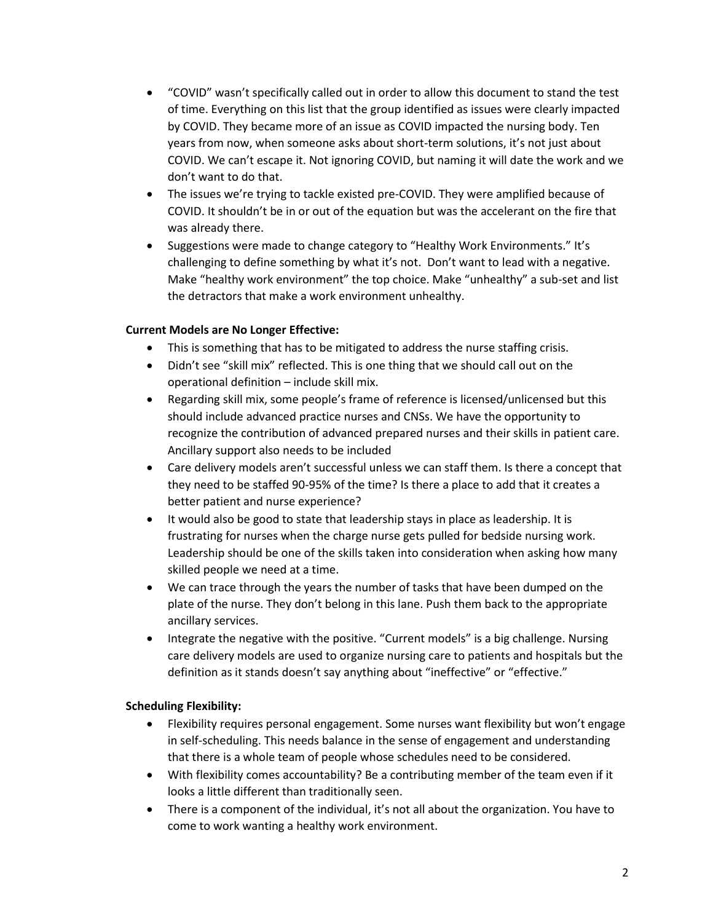- "COVID" wasn't specifically called out in order to allow this document to stand the test of time. Everything on this list that the group identified as issues were clearly impacted by COVID. They became more of an issue as COVID impacted the nursing body. Ten years from now, when someone asks about short-term solutions, it's not just about COVID. We can't escape it. Not ignoring COVID, but naming it will date the work and we don't want to do that.
- The issues we're trying to tackle existed pre-COVID. They were amplified because of COVID. It shouldn't be in or out of the equation but was the accelerant on the fire that was already there.
- Suggestions were made to change category to "Healthy Work Environments." It's challenging to define something by what it's not. Don't want to lead with a negative. Make "healthy work environment" the top choice. Make "unhealthy" a sub-set and list the detractors that make a work environment unhealthy.

## **Current Models are No Longer Effective:**

- This is something that has to be mitigated to address the nurse staffing crisis.
- Didn't see "skill mix" reflected. This is one thing that we should call out on the operational definition – include skill mix.
- Regarding skill mix, some people's frame of reference is licensed/unlicensed but this should include advanced practice nurses and CNSs. We have the opportunity to recognize the contribution of advanced prepared nurses and their skills in patient care. Ancillary support also needs to be included
- Care delivery models aren't successful unless we can staff them. Is there a concept that they need to be staffed 90-95% of the time? Is there a place to add that it creates a better patient and nurse experience?
- It would also be good to state that leadership stays in place as leadership. It is frustrating for nurses when the charge nurse gets pulled for bedside nursing work. Leadership should be one of the skills taken into consideration when asking how many skilled people we need at a time.
- We can trace through the years the number of tasks that have been dumped on the plate of the nurse. They don't belong in this lane. Push them back to the appropriate ancillary services.
- Integrate the negative with the positive. "Current models" is a big challenge. Nursing care delivery models are used to organize nursing care to patients and hospitals but the definition as it stands doesn't say anything about "ineffective" or "effective."

# **Scheduling Flexibility:**

- Flexibility requires personal engagement. Some nurses want flexibility but won't engage in self-scheduling. This needs balance in the sense of engagement and understanding that there is a whole team of people whose schedules need to be considered.
- With flexibility comes accountability? Be a contributing member of the team even if it looks a little different than traditionally seen.
- There is a component of the individual, it's not all about the organization. You have to come to work wanting a healthy work environment.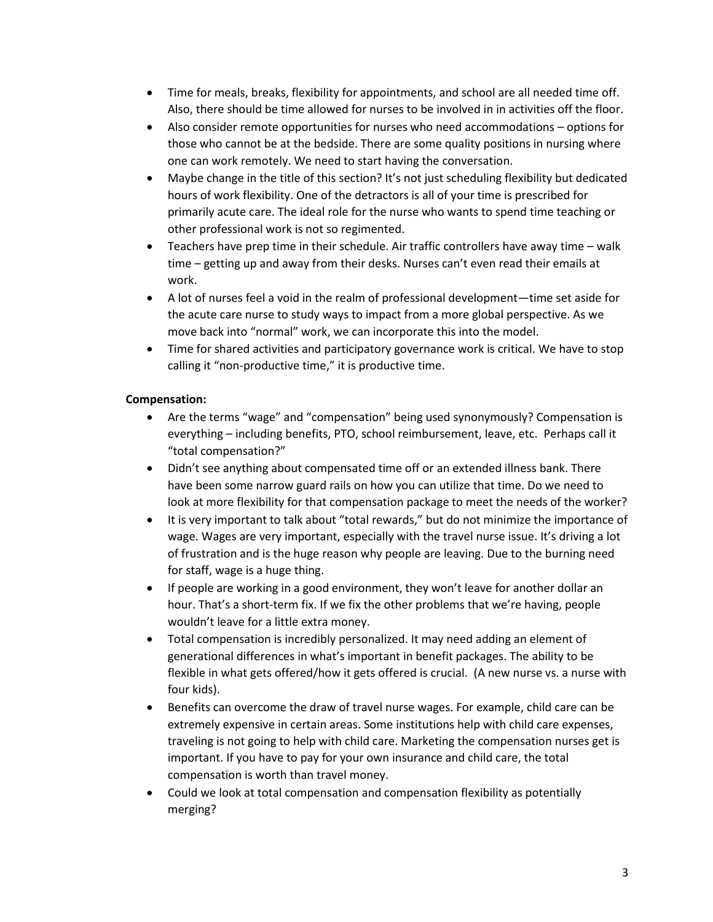- Time for meals, breaks, flexibility for appointments, and school are all needed time off. Also, there should be time allowed for nurses to be involved in in activities off the floor.
- Also consider remote opportunities for nurses who need accommodations options for those who cannot be at the bedside. There are some quality positions in nursing where one can work remotely. We need to start having the conversation.
- Maybe change in the title of this section? It's not just scheduling flexibility but dedicated hours of work flexibility. One of the detractors is all of your time is prescribed for primarily acute care. The ideal role for the nurse who wants to spend time teaching or other professional work is not so regimented.
- Teachers have prep time in their schedule. Air traffic controllers have away time walk time – getting up and away from their desks. Nurses can't even read their emails at work.
- A lot of nurses feel a void in the realm of professional development—time set aside for the acute care nurse to study ways to impact from a more global perspective. As we move back into "normal" work, we can incorporate this into the model.
- Time for shared activities and participatory governance work is critical. We have to stop calling it "non-productive time," it is productive time.

# **Compensation:**

- Are the terms "wage" and "compensation" being used synonymously? Compensation is everything – including benefits, PTO, school reimbursement, leave, etc. Perhaps call it "total compensation?"
- Didn't see anything about compensated time off or an extended illness bank. There have been some narrow guard rails on how you can utilize that time. Do we need to look at more flexibility for that compensation package to meet the needs of the worker?
- It is very important to talk about "total rewards," but do not minimize the importance of wage. Wages are very important, especially with the travel nurse issue. It's driving a lot of frustration and is the huge reason why people are leaving. Due to the burning need for staff, wage is a huge thing.
- If people are working in a good environment, they won't leave for another dollar an hour. That's a short-term fix. If we fix the other problems that we're having, people wouldn't leave for a little extra money.
- Total compensation is incredibly personalized. It may need adding an element of generational differences in what's important in benefit packages. The ability to be flexible in what gets offered/how it gets offered is crucial. (A new nurse vs. a nurse with four kids).
- Benefits can overcome the draw of travel nurse wages. For example, child care can be extremely expensive in certain areas. Some institutions help with child care expenses, traveling is not going to help with child care. Marketing the compensation nurses get is important. If you have to pay for your own insurance and child care, the total compensation is worth than travel money.
- Could we look at total compensation and compensation flexibility as potentially merging?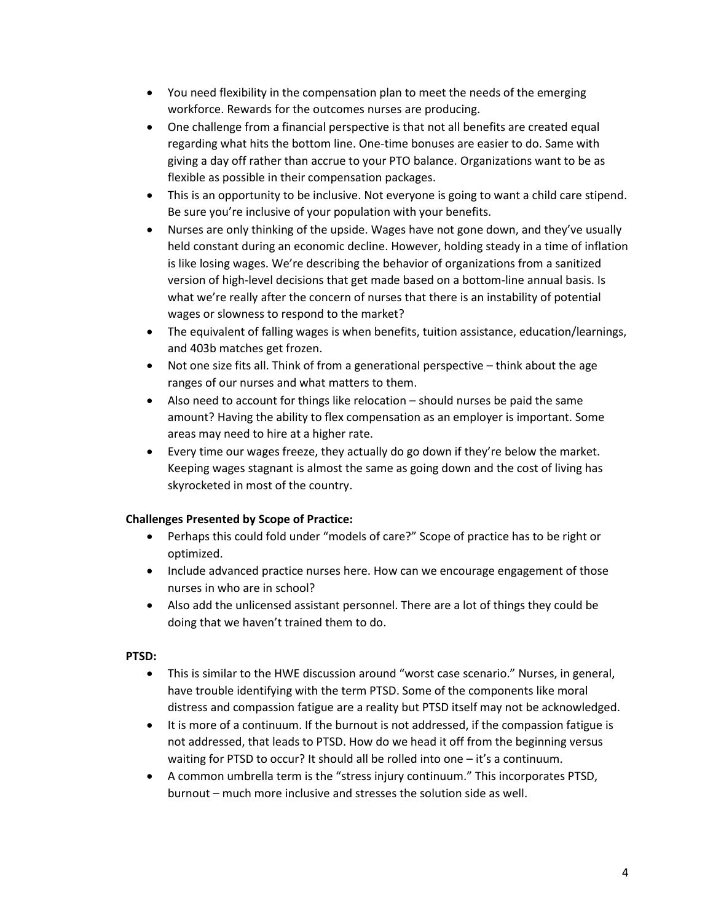- You need flexibility in the compensation plan to meet the needs of the emerging workforce. Rewards for the outcomes nurses are producing.
- One challenge from a financial perspective is that not all benefits are created equal regarding what hits the bottom line. One-time bonuses are easier to do. Same with giving a day off rather than accrue to your PTO balance. Organizations want to be as flexible as possible in their compensation packages.
- This is an opportunity to be inclusive. Not everyone is going to want a child care stipend. Be sure you're inclusive of your population with your benefits.
- Nurses are only thinking of the upside. Wages have not gone down, and they've usually held constant during an economic decline. However, holding steady in a time of inflation is like losing wages. We're describing the behavior of organizations from a sanitized version of high-level decisions that get made based on a bottom-line annual basis. Is what we're really after the concern of nurses that there is an instability of potential wages or slowness to respond to the market?
- The equivalent of falling wages is when benefits, tuition assistance, education/learnings, and 403b matches get frozen.
- Not one size fits all. Think of from a generational perspective think about the age ranges of our nurses and what matters to them.
- Also need to account for things like relocation should nurses be paid the same amount? Having the ability to flex compensation as an employer is important. Some areas may need to hire at a higher rate.
- Every time our wages freeze, they actually do go down if they're below the market. Keeping wages stagnant is almost the same as going down and the cost of living has skyrocketed in most of the country.

# **Challenges Presented by Scope of Practice:**

- Perhaps this could fold under "models of care?" Scope of practice has to be right or optimized.
- Include advanced practice nurses here. How can we encourage engagement of those nurses in who are in school?
- Also add the unlicensed assistant personnel. There are a lot of things they could be doing that we haven't trained them to do.

#### **PTSD:**

- This is similar to the HWE discussion around "worst case scenario." Nurses, in general, have trouble identifying with the term PTSD. Some of the components like moral distress and compassion fatigue are a reality but PTSD itself may not be acknowledged.
- It is more of a continuum. If the burnout is not addressed, if the compassion fatigue is not addressed, that leads to PTSD. How do we head it off from the beginning versus waiting for PTSD to occur? It should all be rolled into one – it's a continuum.
- A common umbrella term is the "stress injury continuum." This incorporates PTSD, burnout – much more inclusive and stresses the solution side as well.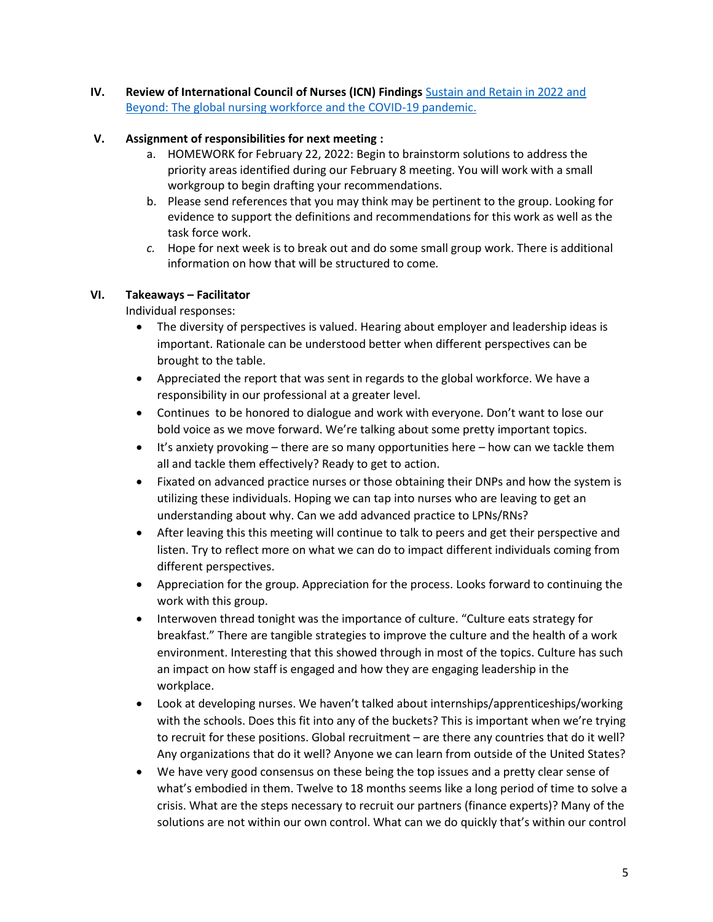**IV.** Review of International Council of Nurses (ICN) Findings Sustain and Retain in 2022 and [Beyond: The global nursing workforce and the COVID-19 pandemic.](https://www.icn.ch/news/new-report-calls-global-action-plan-address-nursing-workforce-crisis-and-prevent-avoidable)

## **V. Assignment of responsibilities for next meeting :**

- a. HOMEWORK for February 22, 2022: Begin to brainstorm solutions to address the priority areas identified during our February 8 meeting. You will work with a small workgroup to begin drafting your recommendations.
- b. Please send references that you may think may be pertinent to the group. Looking for evidence to support the definitions and recommendations for this work as well as the task force work.
- *c.* Hope for next week is to break out and do some small group work. There is additional information on how that will be structured to come*.*

## **VI. Takeaways – Facilitator**

Individual responses:

- The diversity of perspectives is valued. Hearing about employer and leadership ideas is important. Rationale can be understood better when different perspectives can be brought to the table.
- Appreciated the report that was sent in regards to the global workforce. We have a responsibility in our professional at a greater level.
- Continues to be honored to dialogue and work with everyone. Don't want to lose our bold voice as we move forward. We're talking about some pretty important topics.
- It's anxiety provoking there are so many opportunities here how can we tackle them all and tackle them effectively? Ready to get to action.
- Fixated on advanced practice nurses or those obtaining their DNPs and how the system is utilizing these individuals. Hoping we can tap into nurses who are leaving to get an understanding about why. Can we add advanced practice to LPNs/RNs?
- After leaving this this meeting will continue to talk to peers and get their perspective and listen. Try to reflect more on what we can do to impact different individuals coming from different perspectives.
- Appreciation for the group. Appreciation for the process. Looks forward to continuing the work with this group.
- Interwoven thread tonight was the importance of culture. "Culture eats strategy for breakfast." There are tangible strategies to improve the culture and the health of a work environment. Interesting that this showed through in most of the topics. Culture has such an impact on how staff is engaged and how they are engaging leadership in the workplace.
- Look at developing nurses. We haven't talked about internships/apprenticeships/working with the schools. Does this fit into any of the buckets? This is important when we're trying to recruit for these positions. Global recruitment – are there any countries that do it well? Any organizations that do it well? Anyone we can learn from outside of the United States?
- We have very good consensus on these being the top issues and a pretty clear sense of what's embodied in them. Twelve to 18 months seems like a long period of time to solve a crisis. What are the steps necessary to recruit our partners (finance experts)? Many of the solutions are not within our own control. What can we do quickly that's within our control